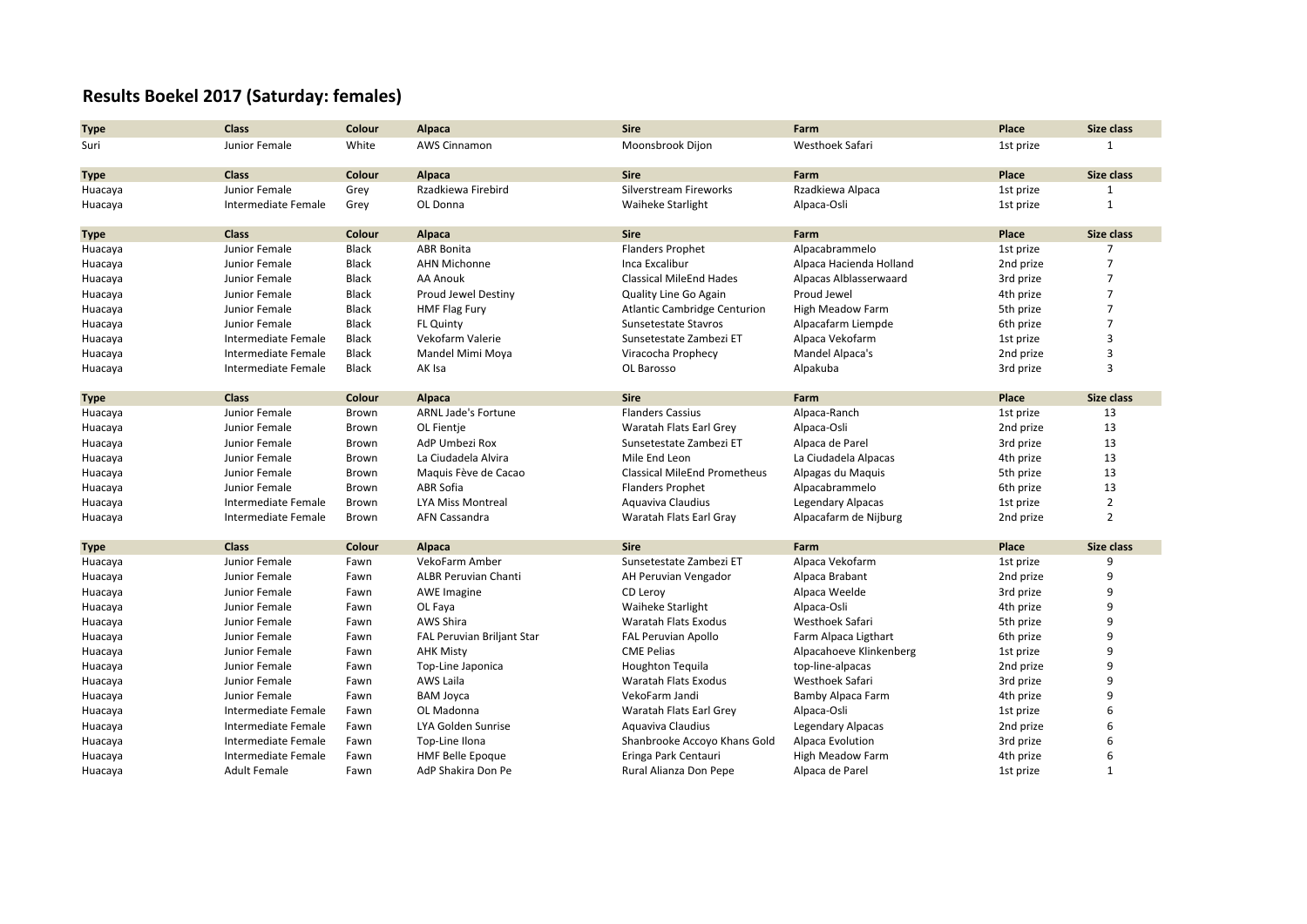## **Results Boekel 2017 (Saturday: females)**

| <b>Type</b> | <b>Class</b>        | Colour       | Alpaca                      | <b>Sire</b>                         | Farm                     | Place     | Size class        |
|-------------|---------------------|--------------|-----------------------------|-------------------------------------|--------------------------|-----------|-------------------|
| Suri        | Junior Female       | White        | <b>AWS Cinnamon</b>         | Moonsbrook Dijon                    | Westhoek Safari          | 1st prize | $\mathbf{1}$      |
|             |                     |              |                             |                                     |                          |           |                   |
| <b>Type</b> | <b>Class</b>        | Colour       | Alpaca                      | <b>Sire</b>                         | Farm                     | Place     | Size class        |
| Huacaya     | Junior Female       | Grey         | Rzadkiewa Firebird          | Silverstream Fireworks              | Rzadkiewa Alpaca         | 1st prize | 1                 |
| Huacaya     | Intermediate Female | Grey         | OL Donna                    | <b>Waiheke Starlight</b>            | Alpaca-Osli              | 1st prize | $\mathbf{1}$      |
| <b>Type</b> | <b>Class</b>        | Colour       | Alpaca                      | <b>Sire</b>                         | Farm                     | Place     | <b>Size class</b> |
| Huacaya     | Junior Female       | Black        | <b>ABR Bonita</b>           | <b>Flanders Prophet</b>             | Alpacabrammelo           | 1st prize | $\overline{7}$    |
| Huacaya     | Junior Female       | Black        | <b>AHN Michonne</b>         | Inca Excalibur                      | Alpaca Hacienda Holland  | 2nd prize | $\overline{7}$    |
| Huacaya     | Junior Female       | <b>Black</b> | AA Anouk                    | <b>Classical MileEnd Hades</b>      | Alpacas Alblasserwaard   | 3rd prize | $\overline{7}$    |
| Huacaya     | Junior Female       | Black        | Proud Jewel Destiny         | Quality Line Go Again               | Proud Jewel              | 4th prize | $\overline{7}$    |
| Huacaya     | Junior Female       | <b>Black</b> | HMF Flag Fury               | <b>Atlantic Cambridge Centurion</b> | High Meadow Farm         | 5th prize | $\overline{7}$    |
| Huacaya     | Junior Female       | Black        | <b>FL Quinty</b>            | Sunsetestate Stavros                | Alpacafarm Liempde       | 6th prize | $\overline{7}$    |
| Huacaya     | Intermediate Female | Black        | Vekofarm Valerie            | Sunsetestate Zambezi ET             | Alpaca Vekofarm          | 1st prize | 3                 |
| Huacaya     | Intermediate Female | <b>Black</b> | Mandel Mimi Moya            | Viracocha Prophecy                  | Mandel Alpaca's          | 2nd prize | 3                 |
| Huacaya     | Intermediate Female | Black        | AK Isa                      | OL Barosso                          | Alpakuba                 | 3rd prize | 3                 |
|             |                     |              |                             |                                     |                          |           |                   |
| Type        | <b>Class</b>        | Colour       | Alpaca                      | <b>Sire</b>                         | Farm                     | Place     | <b>Size class</b> |
| Huacaya     | Junior Female       | Brown        | <b>ARNL Jade's Fortune</b>  | <b>Flanders Cassius</b>             | Alpaca-Ranch             | 1st prize | 13                |
| Huacaya     | Junior Female       | Brown        | OL Fientie                  | Waratah Flats Earl Grey             | Alpaca-Osli              | 2nd prize | 13                |
| Huacaya     | Junior Female       | Brown        | AdP Umbezi Rox              | Sunsetestate Zambezi ET             | Alpaca de Parel          | 3rd prize | 13                |
| Huacaya     | Junior Female       | Brown        | La Ciudadela Alvira         | Mile End Leon                       | La Ciudadela Alpacas     | 4th prize | 13                |
| Huacaya     | Junior Female       | Brown        | Maquis Fève de Cacao        | <b>Classical MileEnd Prometheus</b> | Alpagas du Maquis        | 5th prize | 13                |
| Huacaya     | Junior Female       | Brown        | ABR Sofia                   | <b>Flanders Prophet</b>             | Alpacabrammelo           | 6th prize | 13                |
| Huacaya     | Intermediate Female | Brown        | <b>LYA Miss Montreal</b>    | Aquaviva Claudius                   | Legendary Alpacas        | 1st prize | $\overline{2}$    |
| Huacaya     | Intermediate Female | Brown        | AFN Cassandra               | Waratah Flats Earl Gray             | Alpacafarm de Nijburg    | 2nd prize | $\overline{2}$    |
| <b>Type</b> | <b>Class</b>        | Colour       | Alpaca                      | <b>Sire</b>                         | Farm                     | Place     | <b>Size class</b> |
| Huacaya     | Junior Female       | Fawn         | VekoFarm Amber              | Sunsetestate Zambezi ET             | Alpaca Vekofarm          | 1st prize | 9                 |
| Huacaya     | Junior Female       | Fawn         | <b>ALBR Peruvian Chanti</b> | AH Peruvian Vengador                | Alpaca Brabant           | 2nd prize | 9                 |
| Huacaya     | Junior Female       | Fawn         | <b>AWE Imagine</b>          | CD Leroy                            | Alpaca Weelde            | 3rd prize | 9                 |
| Huacaya     | Junior Female       | Fawn         | OL Faya                     | <b>Waiheke Starlight</b>            | Alpaca-Osli              | 4th prize | q                 |
| Huacaya     | Junior Female       | Fawn         | AWS Shira                   | Waratah Flats Exodus                | Westhoek Safari          | 5th prize | q                 |
| Huacaya     | Junior Female       | Fawn         | FAL Peruvian Briljant Star  | <b>FAL Peruvian Apollo</b>          | Farm Alpaca Ligthart     | 6th prize | 9                 |
| Huacaya     | Junior Female       | Fawn         | <b>AHK Misty</b>            | <b>CME Pelias</b>                   | Alpacahoeve Klinkenberg  | 1st prize | q                 |
| Huacaya     | Junior Female       | Fawn         | Top-Line Japonica           | Houghton Tequila                    | top-line-alpacas         | 2nd prize | q                 |
| Huacaya     | Junior Female       | Fawn         | AWS Laila                   | Waratah Flats Exodus                | Westhoek Safari          | 3rd prize | 9                 |
| Huacaya     | Junior Female       | Fawn         | <b>BAM Joyca</b>            | VekoFarm Jandi                      | Bamby Alpaca Farm        | 4th prize | 9                 |
| Huacaya     | Intermediate Female | Fawn         | OL Madonna                  | Waratah Flats Earl Grey             | Alpaca-Osli              | 1st prize | 6                 |
| Huacaya     | Intermediate Female | Fawn         | LYA Golden Sunrise          | Aquaviva Claudius                   | <b>Legendary Alpacas</b> | 2nd prize |                   |
| Huacaya     | Intermediate Female | Fawn         | Top-Line Ilona              | Shanbrooke Accoyo Khans Gold        | Alpaca Evolution         | 3rd prize | 6                 |
| Huacaya     | Intermediate Female | Fawn         | <b>HMF Belle Epoque</b>     | Eringa Park Centauri                | High Meadow Farm         | 4th prize | 6                 |
| Huacaya     | <b>Adult Female</b> | Fawn         | AdP Shakira Don Pe          | Rural Alianza Don Pepe              | Alpaca de Parel          | 1st prize | $\mathbf{1}$      |